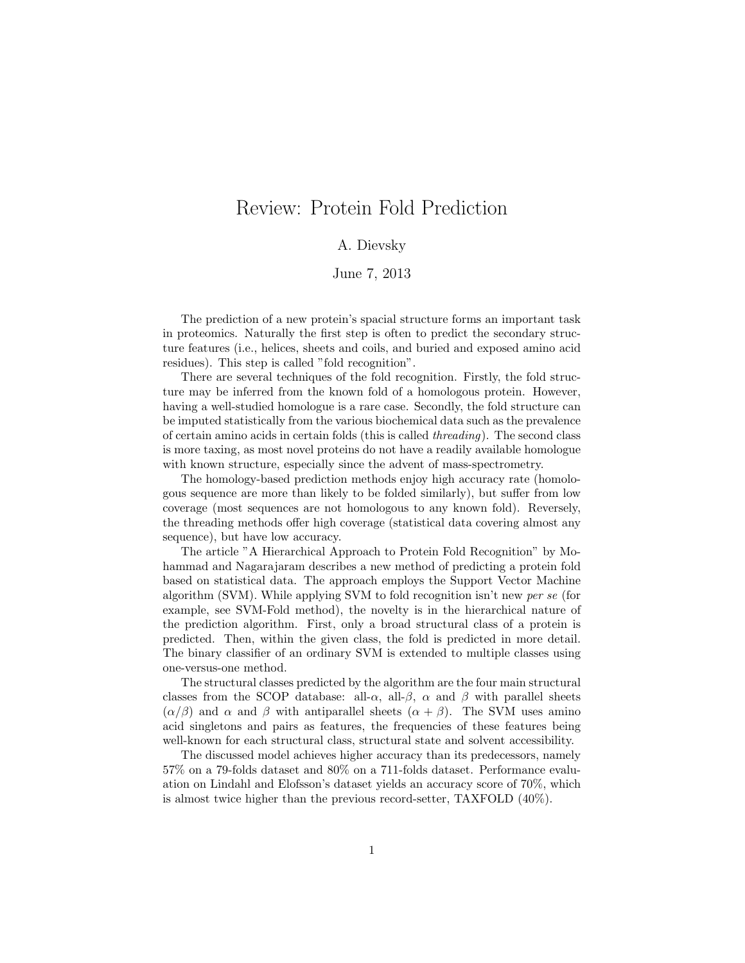## Review: Protein Fold Prediction

## A. Dievsky

## June 7, 2013

The prediction of a new protein's spacial structure forms an important task in proteomics. Naturally the first step is often to predict the secondary structure features (i.e., helices, sheets and coils, and buried and exposed amino acid residues). This step is called "fold recognition".

There are several techniques of the fold recognition. Firstly, the fold structure may be inferred from the known fold of a homologous protein. However, having a well-studied homologue is a rare case. Secondly, the fold structure can be imputed statistically from the various biochemical data such as the prevalence of certain amino acids in certain folds (this is called *threading*). The second class is more taxing, as most novel proteins do not have a readily available homologue with known structure, especially since the advent of mass-spectrometry.

The homology-based prediction methods enjoy high accuracy rate (homologous sequence are more than likely to be folded similarly), but suffer from low coverage (most sequences are not homologous to any known fold). Reversely, the threading methods offer high coverage (statistical data covering almost any sequence), but have low accuracy.

The article "A Hierarchical Approach to Protein Fold Recognition" by Mohammad and Nagarajaram describes a new method of predicting a protein fold based on statistical data. The approach employs the Support Vector Machine algorithm (SVM). While applying SVM to fold recognition isn't new *per se* (for example, see SVM-Fold method), the novelty is in the hierarchical nature of the prediction algorithm. First, only a broad structural class of a protein is predicted. Then, within the given class, the fold is predicted in more detail. The binary classifier of an ordinary SVM is extended to multiple classes using one-versus-one method.

The structural classes predicted by the algorithm are the four main structural classes from the SCOP database: all- $\alpha$ , all- $\beta$ ,  $\alpha$  and  $\beta$  with parallel sheets  $(\alpha/\beta)$  and  $\alpha$  and  $\beta$  with antiparallel sheets  $(\alpha + \beta)$ . The SVM uses amino acid singletons and pairs as features, the frequencies of these features being well-known for each structural class, structural state and solvent accessibility.

The discussed model achieves higher accuracy than its predecessors, namely 57% on a 79-folds dataset and 80% on a 711-folds dataset. Performance evaluation on Lindahl and Elofsson's dataset yields an accuracy score of 70%, which is almost twice higher than the previous record-setter, TAXFOLD (40%).